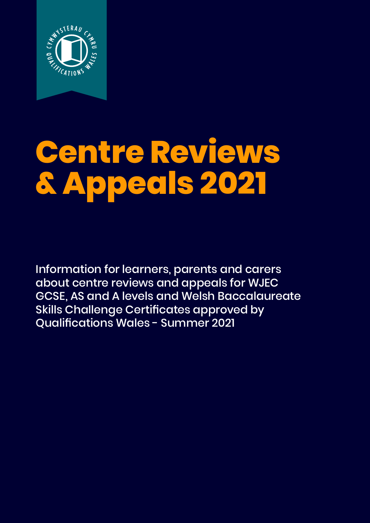

# **Centre Reviews & Appeals 2021**

Information for learners, parents and carers about centre reviews and appeals for WJEC GCSE, AS and A levels and Welsh Baccalaureate Skills Challenge Certificates approved by Qualifications Wales - Summer 2021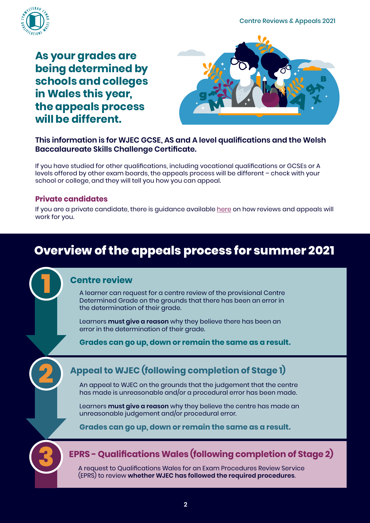Centre Reviews & Appeals 2021



**As your grades are being determined by schools and colleges in Wales this year, the appeals process will be different.**



#### **This information is for WJEC GCSE, AS and A level qualifications and the Welsh Baccalaureate Skills Challenge Certificate.**

If you have studied for other qualifications, including vocational qualifications or GCSEs or A levels offered by other exam boards, the appeals process will be different – check with your school or college, and they will tell you how you can appeal.

#### **Private candidates**

If you are a private candidate, t[here](https://qualificationswales.org/english/awarding-2021/guidance-for-private-candidates/) is quidance available here on how reviews and appeals will work for you.

# **Overview of the appeals process for summer 2021**

#### **Centre review**

A learner can request for a centre review of the provisional Centre Determined Grade on the grounds that there has been an error in the determination of their grade.

Learners **must give a reason** why they believe there has been an error in the determination of their grade.

**Grades can go up, down or remain the same as a result.**

# **Appeal to WJEC (following completion of Stage 1)**

An appeal to WJEC on the grounds that the judgement that the centre has made is unreasonable and/or a procedural error has been made.

Learners **must give a reason** why they believe the centre has made an unreasonable judgement and/or procedural error.

**Grades can go up, down or remain the same as a result.**



**2**

**1**

### **EPRS - Qualifications Wales (following completion of Stage 2)**

A request to Qualifications Wales for an Exam Procedures Review Service (EPRS) to review **whether WJEC has followed the required procedures**.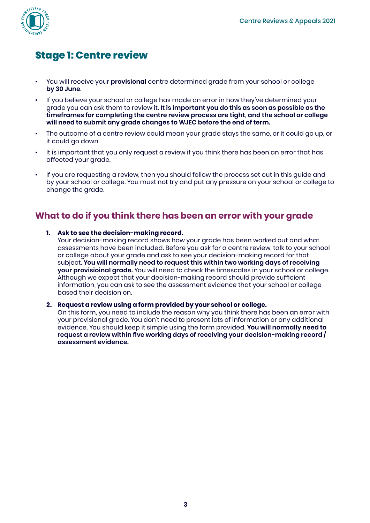

# **Stage 1: Centre review**

- You will receive your **provisional** centre determined grade from your school or college **by 30 June**.
- If you believe your school or college has made an error in how they've determined your grade you can ask them to review it. **It is important you do this as soon as possible as the timeframes for completing the centre review process are tight, and the school or college**  will need to submit any grade changes to WJEC before the end of term.
- The outcome of a centre review could mean your grade stays the same, or it could go up, or it could go down.
- It is important that you only request a review if you think there has been an error that has affected your grade.
- If you are requesting a review, then you should follow the process set out in this guide and by your school or college. You must not try and put any pressure on your school or college to change the grade.

#### **What to do if you think there has been an error with your grade**

#### **1. Ask to see the decision-making record.**

Your decision-making record shows how your grade has been worked out and what assessments have been included. Before you ask for a centre review, talk to your school or college about your grade and ask to see your decision-making record for that subject. **You will normally need to request this within two working days of receiving your provisioinal grade.** You will need to check the timescales in your school or college. Although we expect that your decision-making record should provide sufficient information, you can ask to see the assessment evidence that your school or college based their decision on.

#### **2. Request a review using a form provided by your school or college.**

On this form, you need to include the reason why you think there has been an error with your provisional grade. You don't need to present lots of information or any additional evidence. You should keep it simple using the form provided. **You will normally need to request a review within five working days of receiving your decision-making record / assessment evidence.**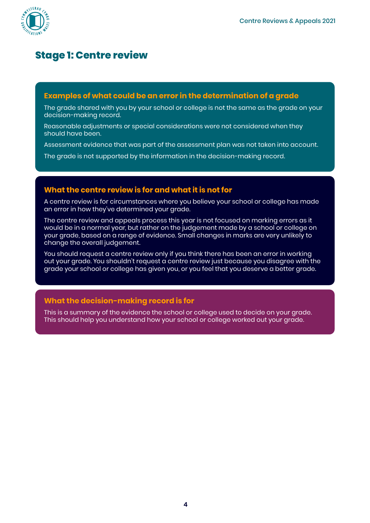

# **Stage 1: Centre review**

#### **Examples of what could be an error in the determination of a grade**

The grade shared with you by your school or college is not the same as the grade on your decision-making record.

Reasonable adjustments or special considerations were not considered when they should have been.

Assessment evidence that was part of the assessment plan was not taken into account.

The grade is not supported by the information in the decision-making record.

#### **What the centre review is for and what it is not for**

A centre review is for circumstances where you believe your school or college has made an error in how they've determined your grade.

The centre review and appeals process this year is not focused on marking errors as it would be in a normal year, but rather on the judgement made by a school or college on your grade, based on a range of evidence. Small changes in marks are very unlikely to change the overall judgement.

You should request a centre review only if you think there has been an error in working out your grade. You shouldn't request a centre review just because you disagree with the grade your school or college has given you, or you feel that you deserve a better grade.

#### **What the decision-making record is for**

This is a summary of the evidence the school or college used to decide on your grade. This should help you understand how your school or college worked out your grade.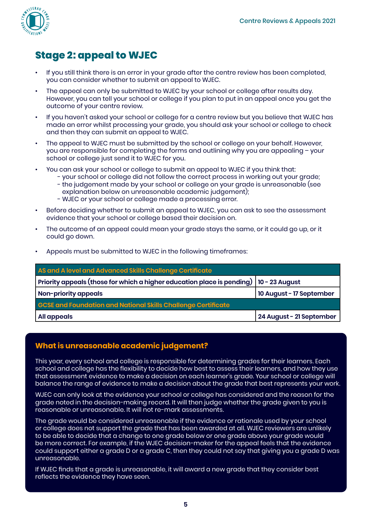

# **Stage 2: appeal to WJEC**

- If you still think there is an error in your grade after the centre review has been completed, you can consider whether to submit an appeal to WJEC.
- The appeal can only be submitted to WJEC by your school or college after results day. However, you can tell your school or college if you plan to put in an appeal once you get the outcome of your centre review.
- If you haven't asked your school or college for a centre review but you believe that WJEC has made an error whilst processing your grade, you should ask your school or college to check and then they can submit an appeal to WJEC.
- The appeal to WJEC must be submitted by the school or college on your behalf. However, you are responsible for completing the forms and outlining why you are appealing – your school or college just send it to WJEC for you.
- You can ask your school or college to submit an appeal to WJEC if you think that:
	- your school or college did not follow the correct process in working out your grade;
	- the judgement made by your school or college on your grade is unreasonable (see explanation below on unreasonable academic judgement);
	- WJEC or your school or college made a processing error.
- Before deciding whether to submit an appeal to WJEC, you can ask to see the assessment evidence that your school or college based their decision on.
- The outcome of an appeal could mean your grade stays the same, or it could go up, or it could go down.

|  | Appeals must be submitted to WJEC in the following timeframes: |  |  |  |
|--|----------------------------------------------------------------|--|--|--|
|--|----------------------------------------------------------------|--|--|--|

| AS and A level and Advanced Skills Challenge Certificate                                |                          |  |  |  |  |
|-----------------------------------------------------------------------------------------|--------------------------|--|--|--|--|
| Priority appeals (those for which a higher education place is pending)   10 - 23 August |                          |  |  |  |  |
| Non-priority appeals                                                                    | 10 August - 17 September |  |  |  |  |
| <b>GCSE and Foundation and National Skills Challenge Certificate</b>                    |                          |  |  |  |  |
| All appeals                                                                             | 24 August - 21 September |  |  |  |  |

#### **What is unreasonable academic judgement?**

This year, every school and college is responsible for determining grades for their learners. Each school and college has the flexibility to decide how best to assess their learners, and how they use that assessment evidence to make a decision on each learner's grade. Your school or college will balance the range of evidence to make a decision about the grade that best represents your work.

WJEC can only look at the evidence your school or college has considered and the reason for the grade noted in the decision-making record. It will then judge whether the grade given to you is reasonable or unreasonable. It will not re-mark assessments.

The grade would be considered unreasonable if the evidence or rationale used by your school or college does not support the grade that has been awarded at all. WJEC reviewers are unlikely to be able to decide that a change to one grade below or one grade above your grade would be more correct. For example, if the WJEC decision-maker for the appeal feels that the evidence could support either a grade D or a grade C, then they could not say that giving you a grade D was unreasonable.

If WJEC finds that a grade is unreasonable, it will award a new grade that they consider best reflects the evidence they have seen.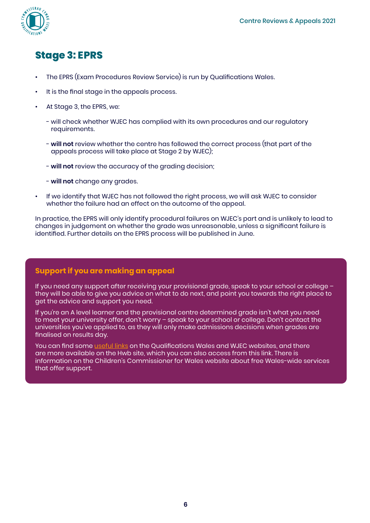

# **Stage 3: EPRS**

- The EPRS (Exam Procedures Review Service) is run by Qualifications Wales.
- It is the final stage in the appeals process.
- At Stage 3, the EPRS, we:
	- will check whether WJEC has complied with its own procedures and our regulatory requirements.
	- **will not** review whether the centre has followed the correct process (that part of the appeals process will take place at Stage 2 by WJEC);
	- **will not** review the accuracy of the grading decision;
	- **will not** change any grades.
- If we identify that WJEC has not followed the right process, we will ask WJEC to consider whether the failure had an effect on the outcome of the appeal.

In practice, the EPRS will only identify procedural failures on WJEC's part and is unlikely to lead to changes in judgement on whether the grade was unreasonable, unless a significant failure is identified. Further details on the EPRS process will be published in June.

#### **Support if you are making an appeal**

If you need any support after receiving your provisional grade, speak to your school or college – they will be able to give you advice on what to do next, and point you towards the right place to get the advice and support you need.

If you're an A level learner and the provisional centre determined grade isn't what you need to meet your university offer, don't worry – speak to your school or college. Don't contact the universities you've applied to, as they will only make admissions decisions when grades are finalised on results day.

You can find some [useful links](https://www.qualificationswales.org/english/awarding-2021/help-and-support/) on the Qualifications Wales and WJEC websites, and there are more available on the Hwb site, which you can also access from this link. There is information on the Children's Commissioner for Wales website about free Wales-wide services that offer support.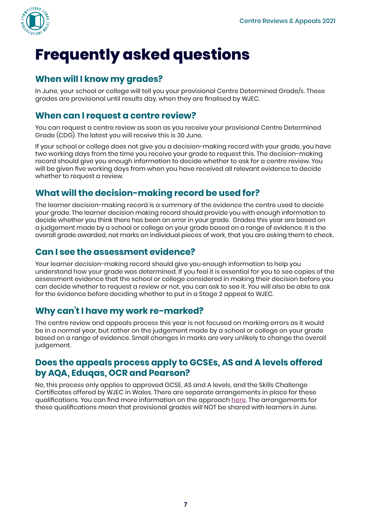

# **Frequently asked questions**

#### **When will I know my grades?**

In June, your school or college will tell you your provisional Centre Determined Grade/s. These grades are provisional until results day, when they are finalised by WJEC.

### **When can I request a centre review?**

You can request a centre review as soon as you receive your provisional Centre Determined Grade (CDG). The latest you will receive this is 30 June.

If your school or college does not give you a decision-making record with your grade, you have two working days from the time you receive your grade to request this. The decision-making record should give you enough information to decide whether to ask for a centre review. You will be given five working days from when you have received all relevant evidence to decide whether to request a review.

## **What will the decision-making record be used for?**

The learner decision-making record is a summary of the evidence the centre used to decide your grade. The learner decision making record should provide you with enough information to decide whether you think there has been an error in your grade. Grades this year are based on a judgement made by a school or college on your grade based on a range of evidence. It is the overall grade awarded, not marks on individual pieces of work, that you are asking them to check.

#### **Can I see the assessment evidence?**

Your learner decision-making record should give you enough information to help you understand how your grade was determined. If you feel it is essential for you to see copies of the assessment evidence that the school or college considered in making their decision before you can decide whether to request a review or not, you can ask to see it. You will also be able to ask for the evidence before deciding whether to put in a Stage 2 appeal to WJEC.

#### **Why can't I have my work re-marked?**

The centre review and appeals process this year is not focused on marking errors as it would be in a normal year, but rather on the judgement made by a school or college on your grade based on a range of evidence. Small changes in marks are very unlikely to change the overall judgement.

### **Does the appeals process apply to GCSEs, AS and A levels offered by AQA, Eduqas, OCR and Pearson?**

No, this process only applies to approved GCSE, AS and A levels, and the Skills Challenge Certificates offered by WJEC in Wales. There are separate arrangements in place for these qualifications. You can find more information on the approach [here](https://assets.publishing.service.gov.uk/government/uploads/system/uploads/attachment_data/file/986351/21-6780_Student_guide_to_awarding_in_summer_2021_-_accessible.pdf). The arrangements for these qualifications mean that provisional grades will NOT be shared with learners in June.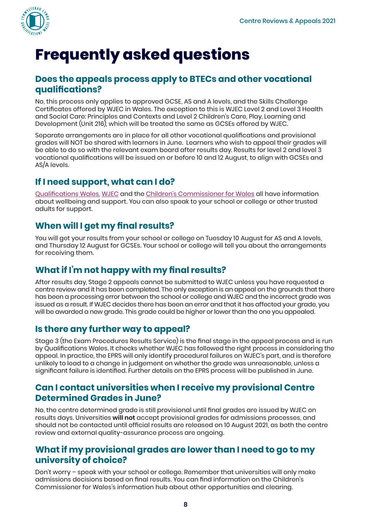

# **Frequently asked questions**

#### **Does the appeals process apply to BTECs and other vocational qualifications?**

No, this process only applies to approved GCSE, AS and A levels, and the Skills Challenge Certificates offered by WJEC in Wales. The exception to this is WJEC Level 2 and Level 3 Health and Social Care: Principles and Contexts and Level 2 Children's Care, Play, Learning and Development (Unit 216), which will be treated the same as GCSEs offered by WJEC.

Separate arrangements are in place for all other vocational qualifications and provisional grades will NOT be shared with learners in June. Learners who wish to appeal their grades will be able to do so with the relevant exam board after results day. Results for level 2 and level 3 vocational qualifications will be issued on or before 10 and 12 August, to align with GCSEs and AS/A levels.

## **If I need support, what can I do?**

[Qualifications Wales](https://qualificationswales.org/english/awarding-2021/2021-resources/), [WJEC](https://www.wjec.co.uk/home/summer-2021-get-the-support-you-need/) and the [Children's Commissioner for Wales](https://www.childcomwales.org.uk/qualifications-2021/) all have information about wellbeing and support. You can also speak to your school or college or other trusted adults for support.

## **When will I get my final results?**

You will get your results from your school or college on Tuesday 10 August for AS and A levels, and Thursday 12 August for GCSEs. Your school or college will tell you about the arrangements for receiving them.

### **What if I'm not happy with my final results?**

After results day, Stage 2 appeals cannot be submitted to WJEC unless you have requested a centre review and it has been completed. The only exception is an appeal on the grounds that there has been a processing error between the school or college and WJEC and the incorrect grade was issued as a result. If WJEC decides there has been an error and that it has affected your grade, you will be awarded a new grade. This grade could be higher or lower than the one you appealed.

### **Is there any further way to appeal?**

Stage 3 (the Exam Procedures Results Service) is the final stage in the appeal process and is run by Qualifications Wales. It checks whether WJEC has followed the right process in considering the appeal. In practice, the EPRS will only identify procedural failures on WJEC's part, and is therefore unlikely to lead to a change in judgement on whether the grade was unreasonable, unless a significant failure is identified. Further details on the EPRS process will be published in June.

#### **Can I contact universities when I receive my provisional Centre Determined Grades in June?**

No, the centre determined grade is still provisional until final grades are issued by WJEC on results days. Universities **will not** accept provisional grades for admissions processes, and should not be contacted until official results are released on 10 August 2021, as both the centre review and external quality-assurance process are ongoing.

#### **What if my provisional grades are lower than I need to go to my university of choice?**

Don't worry – speak with your school or college. Remember that universities will only make admissions decisions based on final results. You can find information on the Children's Commissioner for Wales's information hub about other opportunities and clearing.